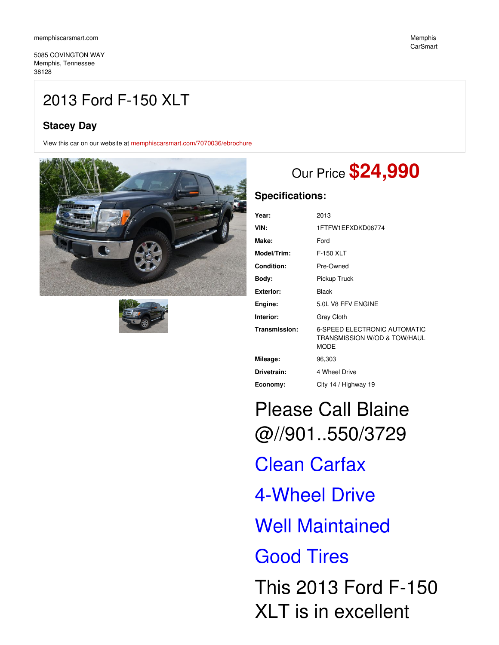5085 COVINGTON WAY Memphis, Tennessee 38128

# 2013 Ford F-150 XLT

## **Stacey Day**

View this car on our website at [memphiscarsmart.com/7070036/ebrochure](https://memphiscarsmart.com/vehicle/7070036/2013-ford-f-150-xlt-memphis-tennessee-38128/7070036/ebrochure)





# Our Price **\$24,990**

## **Specifications:**

| Year:             | 2013                                                                               |
|-------------------|------------------------------------------------------------------------------------|
| VIN:              | 1FTFW1EFXDKD06774                                                                  |
| Make:             | Ford                                                                               |
| Model/Trim:       | F-150 XLT                                                                          |
| <b>Condition:</b> | Pre-Owned                                                                          |
| Body:             | Pickup Truck                                                                       |
| <b>Exterior:</b>  | <b>Black</b>                                                                       |
| Engine:           | 5.0L V8 FFV ENGINE                                                                 |
| Interior:         | <b>Gray Cloth</b>                                                                  |
| Transmission:     | <b>6-SPEED ELECTRONIC AUTOMATIC</b><br>TRANSMISSION W/OD & TOW/HAUL<br><b>MODE</b> |
| Mileage:          | 96,303                                                                             |
| Drivetrain:       | 4 Wheel Drive                                                                      |
| Economy:          | City 14 / Highway 19                                                               |

Please Call Blaine @//901..550/3729 Clean Carfax 4-Wheel Drive Well Maintained Good Tires This 2013 Ford F-150 XLT is in excellent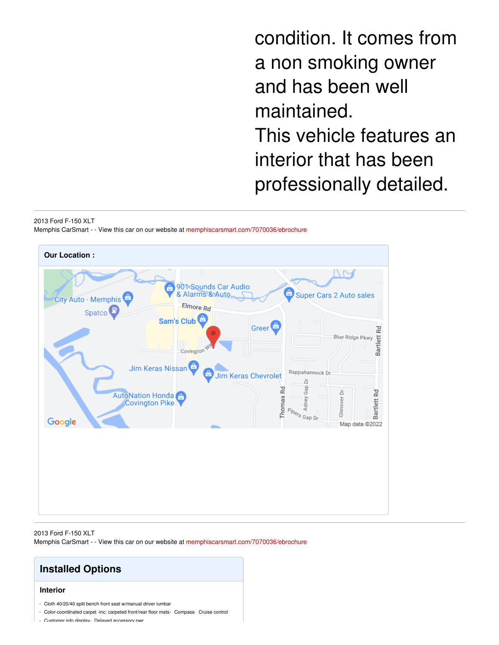condition. It comes from a non smoking owner and has been well maintained. This vehicle features an interior that has been professionally detailed.

#### 2013 Ford F-150 XLT

Memphis CarSmart - - View this car on our website at [memphiscarsmart.com/7070036/ebrochure](https://memphiscarsmart.com/vehicle/7070036/2013-ford-f-150-xlt-memphis-tennessee-38128/7070036/ebrochure)



2013 Ford F-150 XLT Memphis CarSmart - - View this car on our website at [memphiscarsmart.com/7070036/ebrochure](https://memphiscarsmart.com/vehicle/7070036/2013-ford-f-150-xlt-memphis-tennessee-38128/7070036/ebrochure)

# **Installed Options**

## **Interior**

- Cloth 40/20/40 split bench front seat w/manual driver lumbar
- Color-coordinated carpet -inc: carpeted front/rear floor mats- Compass- Cruise control
- Customer info display- Delayed accessory pwr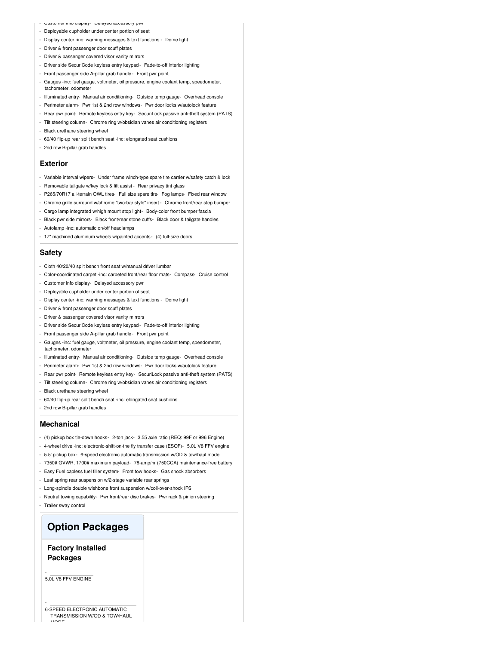#### - Customer info display- Delayed accessory pwr

- Deployable cupholder under center portion of seat
- Display center -inc: warning messages & text functions Dome light
- Driver & front passenger door scuff plates
- Driver & passenger covered visor vanity mirrors
- Driver side SecuriCode keyless entry keypad- Fade-to-off interior lighting
- Front passenger side A-pillar grab handle- Front pwr point
- Gauges -inc: fuel gauge, voltmeter, oil pressure, engine coolant temp, speedometer, tachometer, odometer
- Illuminated entry- Manual air conditioning- Outside temp gauge- Overhead console
- Perimeter alarm- Pwr 1st & 2nd row windows- Pwr door locks w/autolock feature
- Rear pwr point- Remote keyless entry key- SecuriLock passive anti-theft system (PATS)
- Tilt steering column- Chrome ring w/obsidian vanes air conditioning registers
- Black urethane steering wheel
- 60/40 flip-up rear split bench seat -inc: elongated seat cushions
- 2nd row B-pillar grab handles

#### **Exterior**

- Variable interval wipers- Under frame winch-type spare tire carrier w/safety catch & lock
- Removable tailgate w/key lock & lift assist Rear privacy tint glass
- P265/70R17 all-terrain OWL tires- Full size spare tire- Fog lamps- Fixed rear window
- Chrome grille surround w/chrome "two-bar style" insert Chrome front/rear step bumper
- Cargo lamp integrated w/high mount stop light- Body-color front bumper fascia
- Black pwr side mirrors- Black front/rear stone cuffs- Black door & tailgate handles
- Autolamp -inc: automatic on/off headlamps
- 17" machined aluminum wheels w/painted accents- (4) full-size doors

#### **Safety**

- Cloth 40/20/40 split bench front seat w/manual driver lumbar
- Color-coordinated carpet -inc: carpeted front/rear floor mats- Compass- Cruise control
- Customer info display- Delayed accessory pwr
- Deployable cupholder under center portion of seat
- Display center -inc: warning messages & text functions Dome light
- Driver & front passenger door scuff plates
- Driver & passenger covered visor vanity mirrors
- Driver side SecuriCode keyless entry keypad- Fade-to-off interior lighting
- Front passenger side A-pillar grab handle- Front pwr point
- Gauges -inc: fuel gauge, voltmeter, oil pressure, engine coolant temp, speedometer, tachometer, odometer
- Illuminated entry- Manual air conditioning- Outside temp gauge- Overhead console
- Perimeter alarm- Pwr 1st & 2nd row windows- Pwr door locks w/autolock feature
- Rear pwr point- Remote keyless entry key- SecuriLock passive anti-theft system (PATS)
- Tilt steering column- Chrome ring w/obsidian vanes air conditioning registers
- Black urethane steering wheel
- 60/40 flip-up rear split bench seat -inc: elongated seat cushions
- 2nd row B-pillar grab handles

### **Mechanical**

- (4) pickup box tie-down hooks- 2-ton jack- 3.55 axle ratio (REQ: 99F or 996 Engine)
- 4-wheel drive -inc: electronic-shift-on-the fly transfer case (ESOF)- 5.0L V8 FFV engine
- 5.5' pickup box- 6-speed electronic automatic transmission w/OD & tow/haul mode
- 7350# GVWR, 1700# maximum payload- 78-amp/hr (750CCA) maintenance-free battery
- Easy Fuel capless fuel filler system- Front tow hooks- Gas shock absorbers
- Leaf spring rear suspension w/2-stage variable rear springs
- Long-spindle double wishbone front suspension w/coil-over-shock IFS
- Neutral towing capability- Pwr front/rear disc brakes- Pwr rack & pinion steering
- Trailer sway control

## **Option Packages**

## **Factory Installed Packages**

5.0L V8 FFV ENGINE

-

-

6-SPEED ELECTRONIC AUTOMATIC TRANSMISSION W/OD & TOW/HAUL  $\cdots$